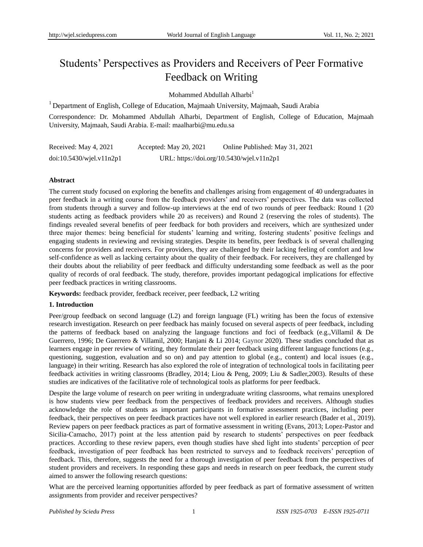# Students' Perspectives as Providers and Receivers of Peer Formative Feedback on Writing

Mohammed Abdullah Alharbi<sup>1</sup>

<sup>1</sup> Department of English, College of Education, Majmaah University, Majmaah, Saudi Arabia

Correspondence: Dr. Mohammed Abdullah Alharbi, Department of English, College of Education, Majmaah University, Majmaah, Saudi Arabia. E-mail: maalharbi@mu.edu.sa

| Received: May 4, 2021    | Accepted: May 20, 2021 | Online Published: May 31, 2021            |
|--------------------------|------------------------|-------------------------------------------|
| doi:10.5430/wjel.v11n2p1 |                        | URL: https://doi.org/10.5430/wjel.v11n2p1 |

## **Abstract**

The current study focused on exploring the benefits and challenges arising from engagement of 40 undergraduates in peer feedback in a writing course from the feedback providers' and receivers' perspectives. The data was collected from students through a survey and follow-up interviews at the end of two rounds of peer feedback: Round 1 (20 students acting as feedback providers while 20 as receivers) and Round 2 (reserving the roles of students). The findings revealed several benefits of peer feedback for both providers and receivers, which are synthesized under three major themes: being beneficial for students' learning and writing, fostering students' positive feelings and engaging students in reviewing and revising strategies. Despite its benefits, peer feedback is of several challenging concerns for providers and receivers. For providers, they are challenged by their lacking feeling of comfort and low self-confidence as well as lacking certainty about the quality of their feedback. For receivers, they are challenged by their doubts about the reliability of peer feedback and difficulty understanding some feedback as well as the poor quality of records of oral feedback. The study, therefore, provides important pedagogical implications for effective peer feedback practices in writing classrooms.

**Keywords:** feedback provider, feedback receiver, peer feedback, L2 writing

## **1. Introduction**

Peer/group feedback on second language (L2) and foreign language (FL) writing has been the focus of extensive research investigation. Research on peer feedback has mainly focused on several aspects of peer feedback, including the patterns of feedback based on analyzing the language functions and foci of feedback (e.g.,Villamil & De Guerrero, 1996; De Guerrero & Villamil, 2000; Hanjani & Li 2014; Gaynor 2020). These studies concluded that as learners engage in peer review of writing, they formulate their peer feedback using different language functions (e.g., questioning, suggestion, evaluation and so on) and pay attention to global (e.g., content) and local issues (e.g., language) in their writing. Research has also explored the role of integration of technological tools in facilitating peer feedback activities in writing classrooms (Bradley, 2014; Liou & Peng, 2009; Liu & Sadler,2003). Results of these studies are indicatives of the facilitative role of technological tools as platforms for peer feedback.

Despite the large volume of research on peer writing in undergraduate writing classrooms, what remains unexplored is how students view peer feedback from the perspectives of feedback providers and receivers. Although studies acknowledge the role of students as important participants in formative assessment practices, including peer feedback, their perspectives on peer feedback practices have not well explored in earlier research (Bader et al., 2019). Review papers on peer feedback practices as part of formative assessment in writing (Evans, 2013; Lopez-Pastor and Sicilia-Camacho, 2017) point at the less attention paid by research to students' perspectives on peer feedback practices. According to these review papers, even though studies have shed light into students' perception of peer feedback, investigation of peer feedback has been restricted to surveys and to feedback receivers' perception of feedback. This, therefore, suggests the need for a thorough investigation of peer feedback from the perspectives of student providers and receivers. In responding these gaps and needs in research on peer feedback, the current study aimed to answer the following research questions:

What are the perceived learning opportunities afforded by peer feedback as part of formative assessment of written assignments from provider and receiver perspectives?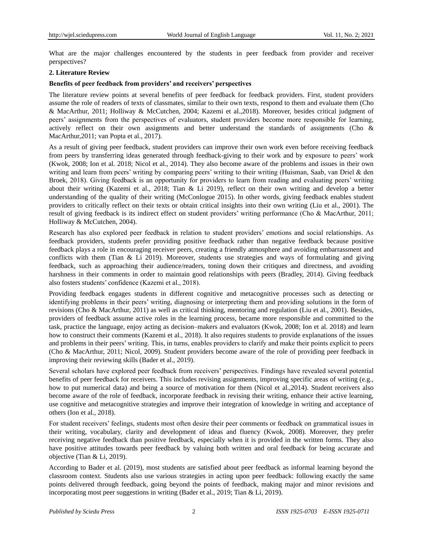What are the major challenges encountered by the students in peer feedback from provider and receiver perspectives?

#### **2. Literature Review**

## **Benefits of peer feedback from providers' and receivers' perspectives**

The literature review points at several benefits of peer feedback for feedback providers. First, student providers assume the role of readers of texts of classmates, similar to their own texts, respond to them and evaluate them (Cho & MacArthur, 2011; Holliway & McCutchen, 2004; Kazemi et al.,2018). Moreover, besides critical judgment of peers' assignments from the perspectives of evaluators, student providers become more responsible for learning, actively reflect on their own assignments and better understand the standards of assignments (Cho & MacArthur,2011; van Popta et al., 2017).

As a result of giving peer feedback, student providers can improve their own work even before receiving feedback from peers by transferring ideas generated through feedback-giving to their work and by exposure to peers' work (Kwok, 2008; Ion et al. 2018; Nicol et al., 2014). They also become aware of the problems and issues in their own writing and learn from peers' writing by comparing peers' writing to their writing (Huisman, Saab, van Driel & den Broek, 2018). Giving feedback is an opportunity for providers to learn from reading and evaluating peers' writing about their writing (Kazemi et al., 2018; Tian & Li 2019), reflect on their own writing and develop a better understanding of the quality of their writing (McConlogue 2015). In other words, giving feedback enables student providers to critically reflect on their texts or obtain critical insights into their own writing (Liu et al., 2001). The result of giving feedback is its indirect effect on student providers' writing performance (Cho & MacArthur, 2011; Holliway & McCutchen, 2004).

Research has also explored peer feedback in relation to student providers' emotions and social relationships. As feedback providers, students prefer providing positive feedback rather than negative feedback because positive feedback plays a role in encouraging receiver peers, creating a friendly atmosphere and avoiding embarrassment and conflicts with them (Tian & Li 2019). Moreover, students use strategies and ways of formulating and giving feedback, such as approaching their audience/readers, toning down their critiques and directness, and avoiding harshness in their comments in order to maintain good relationships with peers (Bradley, 2014). Giving feedback also fosters students' confidence (Kazemi et al., 2018).

Providing feedback engages students in different cognitive and metacognitive processes such as detecting or identifying problems in their peers' writing, diagnosing or interpreting them and providing solutions in the form of revisions (Cho & MacArthur, 2011) as well as critical thinking, mentoring and regulation (Liu et al., 2001). Besides, providers of feedback assume active roles in the learning process, became more responsible and committed to the task, practice the language, enjoy acting as decision–makers and evaluators (Kwok, 2008; Ion et al. 2018) and learn how to construct their comments (Kazemi et al., 2018). It also requires students to provide explanations of the issues and problems in their peers' writing. This, in turns, enables providers to clarify and make their points explicit to peers (Cho & MacArthur, 2011; Nicol, 2009). Student providers become aware of the role of providing peer feedback in improving their reviewing skills (Bader et al., 2019).

Several scholars have explored peer feedback from receivers' perspectives. Findings have revealed several potential benefits of peer feedback for receivers. This includes revising assignments, improving specific areas of writing (e.g., how to put numerical data) and being a source of motivation for them (Nicol et al.,2014). Student receivers also become aware of the role of feedback, incorporate feedback in revising their writing, enhance their active learning, use cognitive and metacognitive strategies and improve their integration of knowledge in writing and acceptance of others (Ion et al., 2018).

For student receivers' feelings, students most often desire their peer comments or feedback on grammatical issues in their writing, vocabulary, clarity and development of ideas and fluency (Kwok, 2008). Moreover, they prefer receiving negative feedback than positive feedback, especially when it is provided in the written forms. They also have positive attitudes towards peer feedback by valuing both written and oral feedback for being accurate and objective (Tian & Li, 2019).

According to Bader et al. (2019), most students are satisfied about peer feedback as informal learning beyond the classroom context. Students also use various strategies in acting upon peer feedback: following exactly the same points delivered through feedback, going beyond the points of feedback, making major and minor revisions and incorporating most peer suggestions in writing (Bader et al., 2019; Tian & Li, 2019).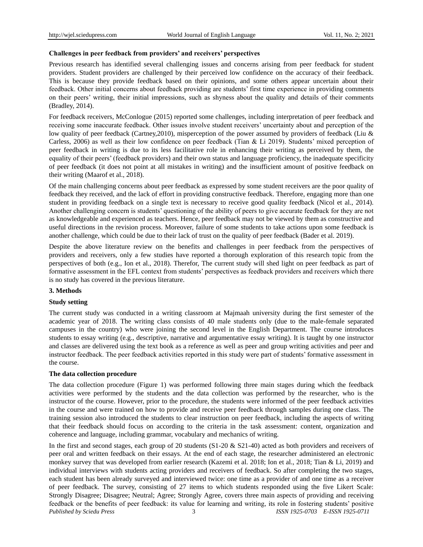## **Challenges in peer feedback from providers' and receivers' perspectives**

Previous research has identified several challenging issues and concerns arising from peer feedback for student providers. Student providers are challenged by their perceived low confidence on the accuracy of their feedback. This is because they provide feedback based on their opinions, and some others appear uncertain about their feedback. Other initial concerns about feedback providing are students' first time experience in providing comments on their peers' writing, their initial impressions, such as shyness about the quality and details of their comments (Bradley, 2014).

For feedback receivers, McConlogue (2015) reported some challenges, including interpretation of peer feedback and receiving some inaccurate feedback. Other issues involve student receivers' uncertainty about and perception of the low quality of peer feedback (Cartney, 2010), misperception of the power assumed by providers of feedback (Liu & Carless, 2006) as well as their low confidence on peer feedback (Tian & Li 2019). Students' mixed perception of peer feedback in writing is due to its less facilitative role in enhancing their writing as perceived by them, the equality of their peers' (feedback providers) and their own status and language proficiency, the inadequate specificity of peer feedback (it does not point at all mistakes in writing) and the insufficient amount of positive feedback on their writing (Maarof et al., 2018).

Of the main challenging concerns about peer feedback as expressed by some student receivers are the poor quality of feedback they received, and the lack of effort in providing constructive feedback. Therefore, engaging more than one student in providing feedback on a single text is necessary to receive good quality feedback (Nicol et al., 2014). Another challenging concern is students' questioning of the ability of peers to give accurate feedback for they are not as knowledgeable and experienced as teachers. Hence, peer feedback may not be viewed by them as constructive and useful directions in the revision process. Moreover, failure of some students to take actions upon some feedback is another challenge, which could be due to their lack of trust on the quality of peer feedback (Bader et al. 2019).

Despite the above literature review on the benefits and challenges in peer feedback from the perspectives of providers and receivers, only a few studies have reported a thorough exploration of this research topic from the perspectives of both (e.g., Ion et al., 2018). Therefor, The current study will shed light on peer feedback as part of formative assessment in the EFL context from students' perspectives as feedback providers and receivers which there is no study has covered in the previous literature.

## **3. Methods**

## **Study setting**

The current study was conducted in a writing classroom at Majmaah university during the first semester of the academic year of 2018. The writing class consists of 40 male students only (due to the male-female separated campuses in the country) who were joining the second level in the English Department. The course introduces students to essay writing (e.g., descriptive, narrative and argumentative essay writing). It is taught by one instructor and classes are delivered using the text book as a reference as well as peer and group writing activities and peer and instructor feedback. The peer feedback activities reported in this study were part of students' formative assessment in the course.

## **The data collection procedure**

The data collection procedure (Figure 1) was performed following three main stages during which the feedback activities were performed by the students and the data collection was performed by the researcher, who is the instructor of the course. However, prior to the procedure, the students were informed of the peer feedback activities in the course and were trained on how to provide and receive peer feedback through samples during one class. The training session also introduced the students to clear instruction on peer feedback, including the aspects of writing that their feedback should focus on according to the criteria in the task assessment: content, organization and coherence and language, including grammar, vocabulary and mechanics of writing.

*Published by Sciedu Press* 3 *ISSN 1925-0703 E-ISSN 1925-0711* In the first and second stages, each group of 20 students (S1-20 & S21-40) acted as both providers and receivers of peer oral and written feedback on their essays. At the end of each stage, the researcher administered an electronic monkey survey that was developed from earlier research (Kazemi et al. 2018; Ion et al., 2018; Tian & Li, 2019) and individual interviews with students acting providers and receivers of feedback. So after completing the two stages, each student has been already surveyed and interviewed twice: one time as a provider of and one time as a receiver of peer feedback. The survey, consisting of 27 items to which students responded using the five Likert Scale: Strongly Disagree; Disagree; Neutral; Agree; Strongly Agree, covers three main aspects of providing and receiving feedback or the benefits of peer feedback: its value for learning and writing, its role in fostering students' positive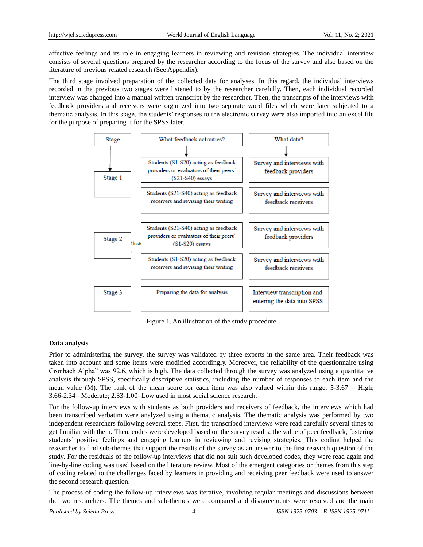affective feelings and its role in engaging learners in reviewing and revision strategies. The individual interview consists of several questions prepared by the researcher according to the focus of the survey and also based on the literature of previous related research (See Appendix).

The third stage involved preparation of the collected data for analyses. In this regard, the individual interviews recorded in the previous two stages were listened to by the researcher carefully. Then, each individual recorded interview was changed into a manual written transcript by the researcher. Then, the transcripts of the interviews with feedback providers and receivers were organized into two separate word files which were later subjected to a thematic analysis. In this stage, the students' responses to the electronic survey were also imported into an excel file for the purpose of preparing it for the SPSS later.



Figure 1. An illustration of the study procedure

## **Data analysis**

Prior to administering the survey, the survey was validated by three experts in the same area. Their feedback was taken into account and some items were modified accordingly. Moreover, the reliability of the questionnaire using Cronbach Alpha" was 92.6, which is high. The data collected through the survey was analyzed using a quantitative analysis through SPSS, specifically descriptive statistics, including the number of responses to each item and the mean value (M). The rank of the mean score for each item was also valued within this range:  $5-3.67 =$  High; 3.66-2.34= Moderate; 2.33-1.00=Low used in most social science research.

For the follow-up interviews with students as both providers and receivers of feedback, the interviews which had been transcribed verbatim were analyzed using a thematic analysis. The thematic analysis was performed by two independent researchers following several steps. First, the transcribed interviews were read carefully several times to get familiar with them. Then, codes were developed based on the survey results: the value of peer feedback, fostering students' positive feelings and engaging learners in reviewing and revising strategies. This coding helped the researcher to find sub-themes that support the results of the survey as an answer to the first research question of the study. For the residuals of the follow-up interviews that did not suit such developed codes, they were read again and line-by-line coding was used based on the literature review. Most of the emergent categories or themes from this step of coding related to the challenges faced by learners in providing and receiving peer feedback were used to answer the second research question.

The process of coding the follow-up interviews was iterative, involving regular meetings and discussions between the two researchers. The themes and sub-themes were compared and disagreements were resolved and the main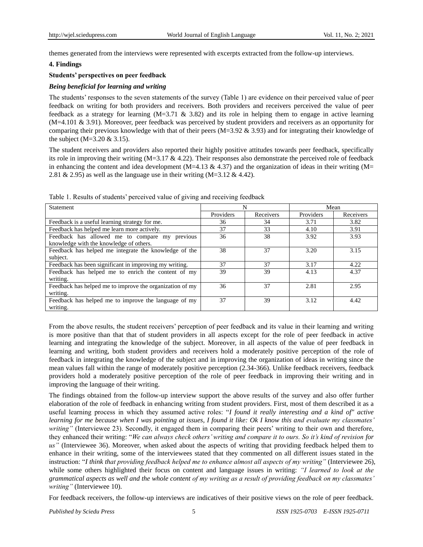themes generated from the interviews were represented with excerpts extracted from the follow-up interviews.

#### **4. Findings**

#### **Students' perspectives on peer feedback**

## *Being beneficial for learning and writing*

The students' responses to the seven statements of the survey (Table 1) are evidence on their perceived value of peer feedback on writing for both providers and receivers. Both providers and receivers perceived the value of peer feedback as a strategy for learning  $(M=3.71 \& 3.82)$  and its role in helping them to engage in active learning (M=4.101 & 3.91). Moreover, peer feedback was perceived by student providers and receivers as an opportunity for comparing their previous knowledge with that of their peers ( $M=3.92 \& 3.93$ ) and for integrating their knowledge of the subject  $(M=3.20 \& 3.15)$ .

The student receivers and providers also reported their highly positive attitudes towards peer feedback, specifically its role in improving their writing  $(M=3.17 \& 4.22)$ . Their responses also demonstrate the perceived role of feedback in enhancing the content and idea development (M=4.13  $\&$  4.37) and the organization of ideas in their writing (M= 2.81 & 2.95) as well as the language use in their writing  $(M=3.12 \& 4.42)$ .

| Statement                                                | N         |           | Mean      |           |
|----------------------------------------------------------|-----------|-----------|-----------|-----------|
|                                                          | Providers | Receivers | Providers | Receivers |
| Feedback is a useful learning strategy for me.           | 36        | 34        | 3.71      | 3.82      |
| Feedback has helped me learn more actively.              | 37        | 33        | 4.10      | 3.91      |
| Feedback has allowed me to compare my previous           | 36        | 38        | 3.92      | 3.93      |
| knowledge with the knowledge of others.                  |           |           |           |           |
| Feedback has helped me integrate the knowledge of the    | 38        | 37        | 3.20      | 3.15      |
| subject.                                                 |           |           |           |           |
| Feedback has been significant in improving my writing.   | 37        | 37        | 3.17      | 4.22      |
| Feedback has helped me to enrich the content of my       | 39        | 39        | 4.13      | 4.37      |
| writing.                                                 |           |           |           |           |
| Feedback has helped me to improve the organization of my | 36        | 37        | 2.81      | 2.95      |
| writing.                                                 |           |           |           |           |
| Feedback has helped me to improve the language of my     | 37        | 39        | 3.12      | 4.42      |
| writing.                                                 |           |           |           |           |

Table 1. Results of students' perceived value of giving and receiving feedback

From the above results, the student receivers' perception of peer feedback and its value in their learning and writing is more positive than that that of student providers in all aspects except for the role of peer feedback in active learning and integrating the knowledge of the subject. Moreover, in all aspects of the value of peer feedback in learning and writing, both student providers and receivers hold a moderately positive perception of the role of feedback in integrating the knowledge of the subject and in improving the organization of ideas in writing since the mean values fall within the range of moderately positive perception (2.34-366). Unlike feedback receivers, feedback providers hold a moderately positive perception of the role of peer feedback in improving their writing and in improving the language of their writing.

The findings obtained from the follow-up interview support the above results of the survey and also offer further elaboration of the role of feedback in enhancing writing from student providers. First, most of them described it as a useful learning process in which they assumed active roles: "*I found it really interesting and a kind of" active learning for me because when I was pointing at issues, I found it like: Ok I know this and evaluate my classmates' writing*" (Interviewee 23). Secondly, it engaged them in comparing their peers' writing to their own and therefore, they enhanced their writing: "*We can always check others' writing and compare it to ours. So it's kind of revision for us"* (Interviewee 36). Moreover, when asked about the aspects of writing that providing feedback helped them to enhance in their writing, some of the interviewees stated that they commented on all different issues stated in the instruction: "*I think that providing feedback helped me to enhance almost all aspects of my writing"* (Interviewee 26), while some others highlighted their focus on content and language issues in writing: *"I learned to look at the grammatical aspects as well and the whole content of my writing as a result of providing feedback on my classmates' writing"* (Interviewee 10).

For feedback receivers, the follow-up interviews are indicatives of their positive views on the role of peer feedback.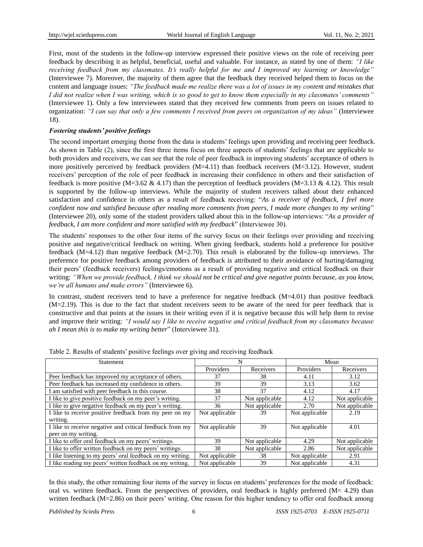First, most of the students in the follow-up interview expressed their positive views on the role of receiving peer feedback by describing it as helpful, beneficial, useful and valuable. For instance, as stated by one of them: *"I like receiving feedback from my classmates. It's really helpful for me and I improved my learning or knowledge"* (Interviewee 7). Moreover, the majority of them agree that the feedback they received helped them to focus on the content and language issues: *"The feedback made me realize there was a lot of issues in my content and mistakes that I did not realize when I was writing, which is so good to get to know them especially in my classmates' comments"* (Interviewee 1). Only a few interviewees stated that they received few comments from peers on issues related to organization: *"I can say that only a few comments I received from peers on organization of my ideas"* (Interviewee 18).

# *Fostering students' positive feelings*

The second important emerging theme from the data is students' feelings upon providing and receiving peer feedback. As shown in Table (2), since the first three items focus on three aspects of students' feelings that are applicable to both providers and receivers, we can see that the role of peer feedback in improving students' acceptance of others is more positively perceived by feedback providers  $(M=4.11)$  than feedback receivers  $(M=3.12)$ . However, student receivers' perception of the role of peer feedback in increasing their confidence in others and their satisfaction of feedback is more positive (M=3.62 & 4.17) than the perception of feedback providers (M=3.13 & 4.12). This result is supported by the follow-up interviews. While the majority of student receivers talked about their enhanced satisfaction and confidence in others as a result of feedback receiving: "*As a receiver of feedback, I feel more confident now and satisfied because after reading more comments from peers, I made more changes to my writing*" (Interviewee 20), only some of the student providers talked about this in the follow-up interviews: "*As a provider of feedback, I am more confident and more satisfied with my feedback*" (Interviewee 30).

The students' responses to the other four items of the survey focus on their feelings over providing and receiving positive and negative/critical feedback on writing. When giving feedback, students hold a preference for positive feedback (M=4.12) than negative feedback (M=2.70). This result is elaborated by the follow-up interviews. The preference for positive feedback among providers of feedback is attributed to their avoidance of hurting/damaging their peers' (feedback receivers) feelings/emotions as a result of providing negative and critical feedback on their writing: *"When we provide feedback, I think we should not be critical and give negative points because, as you know, we're all humans and make errors"* (Interviewee 6).

In contrast, student receivers tend to have a preference for negative feedback  $(M=4.01)$  than positive feedback (M=2.19). This is due to the fact that student receivers seem to be aware of the need for peer feedback that is constructive and that points at the issues in their writing even if it is negative because this will help them to revise and improve their writing: *"I would say I like to receive negative and critical feedback from my classmates because ah I mean this is to make my writing better*" (Interviewee 31).

| Statement                                                  |                |                | Mean           |                |
|------------------------------------------------------------|----------------|----------------|----------------|----------------|
|                                                            | Providers      | Receivers      | Providers      | Receivers      |
| Peer feedback has improved my acceptance of others.        | 37             | 38             | 4.11           | 3.12           |
| Peer feedback has increased my confidence in others.       | 39             | 39             | 3.13           | 3.62           |
| I am satisfied with peer feedback in this course.          | 38             | 37             | 4.12           | 4.17           |
| I like to give positive feedback on my peer's writing.     | 37             | Not applicable | 4.12           | Not applicable |
| I like to give negative feedback on my peer's writing.     | 36             | Not applicable | 2.70           | Not applicable |
| I like to receive positive feedback from my peer on my     | Not applicable | 39             | Not applicable | 2.19           |
| writing.                                                   |                |                |                |                |
| I like to receive negative and critical feedback from my   | Not applicable | 39             | Not applicable | 4.01           |
| peer on my writing.                                        |                |                |                |                |
| I like to offer oral feedback on my peers' writings.       | 39             | Not applicable | 4.29           | Not applicable |
| I like to offer written feedback on my peers' writings.    | 38             | Not applicable | 2.86           | Not applicable |
| I like listening to my peers' oral feedback on my writing. | Not applicable | 38             | Not applicable | 2.91           |
| I like reading my peers' written feedback on my writing.   | Not applicable | 39             | Not applicable | 4.31           |

Table 2. Results of students' positive feelings over giving and receiving feedback

In this study, the other remaining four items of the survey in focus on students' preferences for the mode of feedback: oral vs. written feedback. From the perspectives of providers, oral feedback is highly preferred  $(M= 4.29)$  than written feedback (M=2.86) on their peers' writing. One reason for this higher tendency to offer oral feedback among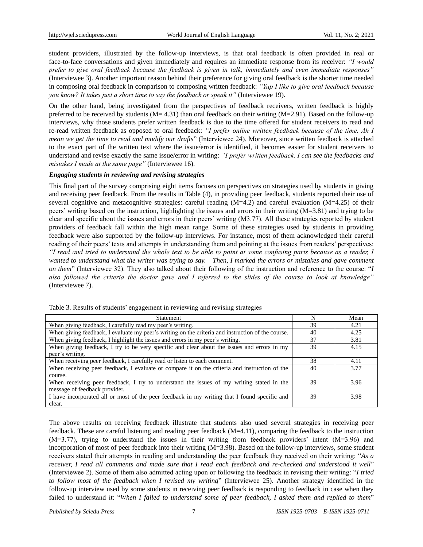student providers, illustrated by the follow-up interviews, is that oral feedback is often provided in real or face-to-face conversations and given immediately and requires an immediate response from its receiver: *"I would prefer to give oral feedback because the feedback is given in talk, immediately and even immediate responses"*  (Interviewee 3). Another important reason behind their preference for giving oral feedback is the shorter time needed in composing oral feedback in comparison to composing written feedback: *"Yup I like to give oral feedback because you know? It takes just a short time to say the feedback or speak it"* (Interviewee 19).

On the other hand, being investigated from the perspectives of feedback receivers, written feedback is highly preferred to be received by students  $(M= 4.31)$  than oral feedback on their writing  $(M=2.91)$ . Based on the follow-up interviews, why those students prefer written feedback is due to the time offered for student receivers to read and re-read written feedback as opposed to oral feedback: *"I prefer online written feedback because of the time. Ah I mean we get the time to read and modify our drafts*" (Interviewee 24). Moreover, since written feedback is attached to the exact part of the written text where the issue/error is identified, it becomes easier for student receivers to understand and revise exactly the same issue/error in writing: *"I prefer written feedback. I can see the feedbacks and mistakes I made at the same page"* (Interviewee 16).

#### *Engaging students in reviewing and revising strategies*

This final part of the survey comprising eight items focuses on perspectives on strategies used by students in giving and receiving peer feedback. From the results in Table (4), in providing peer feedback, students reported their use of several cognitive and metacognitive strategies: careful reading (M=4.2) and careful evaluation (M=4.25) of their peers' writing based on the instruction, highlighting the issues and errors in their writing (M=3.81) and trying to be clear and specific about the issues and errors in their peers' writing (M3.77). All these strategies reported by student providers of feedback fall within the high mean range. Some of these strategies used by students in providing feedback were also supported by the follow-up interviews. For instance, most of them acknowledged their careful reading of their peers' texts and attempts in understanding them and pointing at the issues from readers' perspectives: *"I read and tried to understand the whole text to be able to point at some confusing parts because as a reader, I wanted to understand what the writer was trying to say. Then, I marked the errors or mistakes and gave comment on them*" (Interviewee 32). They also talked about their following of the instruction and reference to the course: "*I also followed the criteria the doctor gave and I referred to the slides of the course to look at knowledge"*  (Interviewee 7).

| Statement                                                                                         |    | Mean |
|---------------------------------------------------------------------------------------------------|----|------|
| When giving feedback, I carefully read my peer's writing.                                         |    | 4.21 |
| When giving feedback, I evaluate my peer's writing on the criteria and instruction of the course. |    | 4.25 |
| When giving feedback, I highlight the issues and errors in my peer's writing.                     | 37 | 3.81 |
| When giving feedback, I try to be very specific and clear about the issues and errors in my       | 39 | 4.15 |
| peer's writing.                                                                                   |    |      |
| When receiving peer feedback, I carefully read or listen to each comment.                         | 38 | 4.11 |
| When receiving peer feedback, I evaluate or compare it on the criteria and instruction of the     |    | 3.77 |
| course.                                                                                           |    |      |
| When receiving peer feedback, I try to understand the issues of my writing stated in the          | 39 | 3.96 |
| message of feedback provider.                                                                     |    |      |
| I have incorporated all or most of the peer feedback in my writing that I found specific and      | 39 | 3.98 |
| clear.                                                                                            |    |      |

Table 3. Results of students' engagement in reviewing and revising strategies

The above results on receiving feedback illustrate that students also used several strategies in receiving peer feedback. These are careful listening and reading peer feedback (M=4.11), comparing the feedback to the instruction (M=3.77), trying to understand the issues in their writing from feedback providers' intent (M=3.96) and incorporation of most of peer feedback into their writing (M=3.98). Based on the follow-up interviews, some student receivers stated their attempts in reading and understanding the peer feedback they received on their writing: "*As a receiver, I read all comments and made sure that I read each feedback and re-checked and understood it well*" (Interviewee 2). Some of them also admitted acting upon or following the feedback in revising their writing: "*I tried to follow most of the feedback when I revised my writing*" (Interviewee 25). Another strategy identified in the follow-up interview used by some students in receiving peer feedback is responding to feedback in case when they failed to understand it: "*When I failed to understand some of peer feedback, I asked them and replied to them*"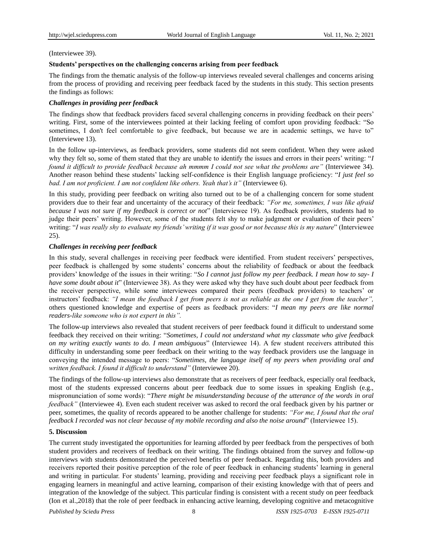# (Interviewee 39).

# **Students' perspectives on the challenging concerns arising from peer feedback**

The findings from the thematic analysis of the follow-up interviews revealed several challenges and concerns arising from the process of providing and receiving peer feedback faced by the students in this study. This section presents the findings as follows:

# *Challenges in providing peer feedback*

The findings show that feedback providers faced several challenging concerns in providing feedback on their peers' writing. First, some of the interviewees pointed at their lacking feeling of comfort upon providing feedback: "So sometimes, I don't feel comfortable to give feedback, but because we are in academic settings, we have to" (Interviewee 13).

In the follow up-interviews, as feedback providers, some students did not seem confident. When they were asked why they felt so, some of them stated that they are unable to identify the issues and errors in their peers' writing: "*I found it difficult to provide feedback because ah mmmm I could not see what the problems are"* (Interviewee 34). Another reason behind these students' lacking self-confidence is their English language proficiency: "*I just feel so bad. I am not proficient. I am not confident like others. Yeah that's it"* (Interviewee 6).

In this study, providing peer feedback on writing also turned out to be of a challenging concern for some student providers due to their fear and uncertainty of the accuracy of their feedback: *"For me, sometimes, I was like afraid because I was not sure if my feedback is correct or not*" (Interviewee 19). As feedback providers, students had to judge their peers' writing. However, some of the students felt shy to make judgment or evaluation of their peers' writing: "*I was really shy to evaluate my friends' writing if it was good or not because this is my nature*" (Interviewee 25).

# *Challenges in receiving peer feedback*

In this study, several challenges in receiving peer feedback were identified. From student receivers' perspectives, peer feedback is challenged by some students' concerns about the reliability of feedback or about the feedback providers' knowledge of the issues in their writing: "*So I cannot just follow my peer feedback. I mean how to say- I have some doubt about it*" (Interviewee 38). As they were asked why they have such doubt about peer feedback from the receiver perspective, while some interviewees compared their peers (feedback providers) to teachers' or instructors' feedback: *"I mean the feedback I get from peers is not as reliable as the one I get from the teacher",*  others questioned knowledge and expertise of peers as feedback providers: "*I mean my peers are like normal readers-like someone who is not expert in this".*

The follow-up interviews also revealed that student receivers of peer feedback found it difficult to understand some feedback they received on their writing: "*Sometimes, I could not understand what my classmate who give feedback on my writing exactly wants to do. I mean ambiguous*" (Interviewee 14). A few student receivers attributed this difficulty in understanding some peer feedback on their writing to the way feedback providers use the language in conveying the intended message to peers: "*Sometimes, the language itself of my peers when providing oral and written feedback. I found it difficult to understand"* (Interviewee 20).

The findings of the follow-up interviews also demonstrate that as receivers of peer feedback, especially oral feedback, most of the students expressed concerns about peer feedback due to some issues in speaking English (e.g., mispronunciation of some words): "*There might be misunderstanding because of the utterance of the words in oral feedback"* (Interviewee 4). Even each student receiver was asked to record the oral feedback given by his partner or peer, sometimes, the quality of records appeared to be another challenge for students: *"For me, I found that the oral feedback I recorded was not clear because of my mobile recording and also the noise around*" (Interviewee 15).

## **5. Discussion**

The current study investigated the opportunities for learning afforded by peer feedback from the perspectives of both student providers and receivers of feedback on their writing. The findings obtained from the survey and follow-up interviews with students demonstrated the perceived benefits of peer feedback. Regarding this, both providers and receivers reported their positive perception of the role of peer feedback in enhancing students' learning in general and writing in particular. For students' learning, providing and receiving peer feedback plays a significant role in engaging learners in meaningful and active learning, comparison of their existing knowledge with that of peers and integration of the knowledge of the subject. This particular finding is consistent with a recent study on peer feedback (Ion et al.,2018) that the role of peer feedback in enhancing active learning, developing cognitive and metacognitive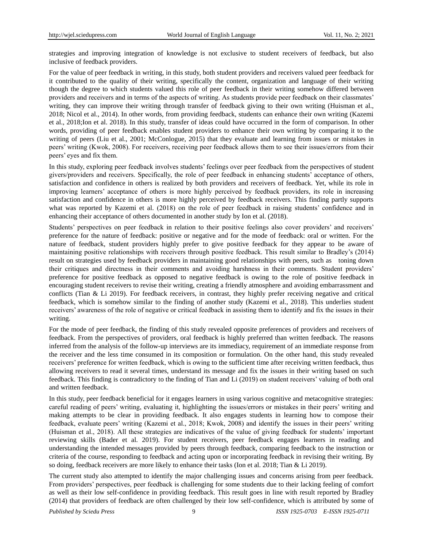strategies and improving integration of knowledge is not exclusive to student receivers of feedback, but also inclusive of feedback providers.

For the value of peer feedback in writing, in this study, both student providers and receivers valued peer feedback for it contributed to the quality of their writing, specifically the content, organization and language of their writing though the degree to which students valued this role of peer feedback in their writing somehow differed between providers and receivers and in terms of the aspects of writing. As students provide peer feedback on their classmates' writing, they can improve their writing through transfer of feedback giving to their own writing (Huisman et al., 2018; Nicol et al., 2014). In other words, from providing feedback, students can enhance their own writing (Kazemi et al., 2018;Ion et al. 2018). In this study, transfer of ideas could have occurred in the form of comparison. In other words, providing of peer feedback enables student providers to enhance their own writing by comparing it to the writing of peers (Liu et al., 2001; McConlogue, 2015) that they evaluate and learning from issues or mistakes in peers' writing (Kwok, 2008). For receivers, receiving peer feedback allows them to see their issues/errors from their peers' eyes and fix them.

In this study, exploring peer feedback involves students' feelings over peer feedback from the perspectives of student givers/providers and receivers. Specifically, the role of peer feedback in enhancing students' acceptance of others, satisfaction and confidence in others is realized by both providers and receivers of feedback. Yet, while its role in improving learners' acceptance of others is more highly perceived by feedback providers, its role in increasing satisfaction and confidence in others is more highly perceived by feedback receivers. This finding partly supports what was reported by Kazemi et al. (2018) on the role of peer feedback in raising students' confidence and in enhancing their acceptance of others documented in another study by Ion et al. (2018).

Students' perspectives on peer feedback in relation to their positive feelings also cover providers' and receivers' preference for the nature of feedback: positive or negative and for the mode of feedback: oral or written. For the nature of feedback, student providers highly prefer to give positive feedback for they appear to be aware of maintaining positive relationships with receivers through positive feedback. This result similar to Bradley's (2014) result on strategies used by feedback providers in maintaining good relationships with peers, such as toning down their critiques and directness in their comments and avoiding harshness in their comments. Student providers' preference for positive feedback as opposed to negative feedback is owing to the role of positive feedback in encouraging student receivers to revise their writing, creating a friendly atmosphere and avoiding embarrassment and conflicts (Tian & Li 2019). For feedback receivers, in contrast, they highly prefer receiving negative and critical feedback, which is somehow similar to the finding of another study (Kazemi et al., 2018). This underlies student receivers' awareness of the role of negative or critical feedback in assisting them to identify and fix the issues in their writing.

For the mode of peer feedback, the finding of this study revealed opposite preferences of providers and receivers of feedback. From the perspectives of providers, oral feedback is highly preferred than written feedback. The reasons inferred from the analysis of the follow-up interviews are its immediacy, requirement of an immediate response from the receiver and the less time consumed in its composition or formulation. On the other hand, this study revealed receivers' preference for written feedback, which is owing to the sufficient time after receiving written feedback, thus allowing receivers to read it several times, understand its message and fix the issues in their writing based on such feedback. This finding is contradictory to the finding of Tian and Li (2019) on student receivers' valuing of both oral and written feedback.

In this study, peer feedback beneficial for it engages learners in using various cognitive and metacognitive strategies: careful reading of peers' writing, evaluating it, highlighting the issues/errors or mistakes in their peers' writing and making attempts to be clear in providing feedback. It also engages students in learning how to compose their feedback, evaluate peers' writing (Kazemi et al., 2018; Kwok, 2008) and identify the issues in their peers' writing (Huisman et al., 2018). All these strategies are indicatives of the value of giving feedback for students' important reviewing skills (Bader et al. 2019). For student receivers, peer feedback engages learners in reading and understanding the intended messages provided by peers through feedback, comparing feedback to the instruction or criteria of the course, responding to feedback and acting upon or incorporating feedback in revising their writing. By so doing, feedback receivers are more likely to enhance their tasks (Ion et al. 2018; Tian & Li 2019).

The current study also attempted to identify the major challenging issues and concerns arising from peer feedback. From providers' perspectives, peer feedback is challenging for some students due to their lacking feeling of comfort as well as their low self-confidence in providing feedback. This result goes in line with result reported by Bradley (2014) that providers of feedback are often challenged by their low self-confidence, which is attributed by some of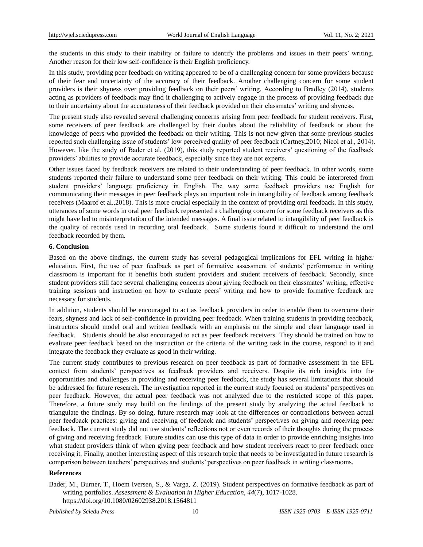the students in this study to their inability or failure to identify the problems and issues in their peers' writing. Another reason for their low self-confidence is their English proficiency.

In this study, providing peer feedback on writing appeared to be of a challenging concern for some providers because of their fear and uncertainty of the accuracy of their feedback. Another challenging concern for some student providers is their shyness over providing feedback on their peers' writing. According to Bradley (2014), students acting as providers of feedback may find it challenging to actively engage in the process of providing feedback due to their uncertainty about the accurateness of their feedback provided on their classmates' writing and shyness.

The present study also revealed several challenging concerns arising from peer feedback for student receivers. First, some receivers of peer feedback are challenged by their doubts about the reliability of feedback or about the knowledge of peers who provided the feedback on their writing. This is not new given that some previous studies reported such challenging issue of students' low perceived quality of peer feedback (Cartney,2010; Nicol et al., 2014). However, like the study of Bader et al. (2019), this study reported student receivers' questioning of the feedback providers' abilities to provide accurate feedback, especially since they are not experts.

Other issues faced by feedback receivers are related to their understanding of peer feedback. In other words, some students reported their failure to understand some peer feedback on their writing. This could be interpreted from student providers' language proficiency in English. The way some feedback providers use English for communicating their messages in peer feedback plays an important role in intangibility of feedback among feedback receivers (Maarof et al.,2018). This is more crucial especially in the context of providing oral feedback. In this study, utterances of some words in oral peer feedback represented a challenging concern for some feedback receivers as this might have led to misinterpretation of the intended messages. A final issue related to intangibility of peer feedback is the quality of records used in recording oral feedback. Some students found it difficult to understand the oral feedback recorded by them.

#### **6. Conclusion**

Based on the above findings, the current study has several pedagogical implications for EFL writing in higher education. First, the use of peer feedback as part of formative assessment of students' performance in writing classroom is important for it benefits both student providers and student receivers of feedback. Secondly, since student providers still face several challenging concerns about giving feedback on their classmates' writing, effective training sessions and instruction on how to evaluate peers' writing and how to provide formative feedback are necessary for students.

In addition, students should be encouraged to act as feedback providers in order to enable them to overcome their fears, shyness and lack of self-confidence in providing peer feedback. When training students in providing feedback, instructors should model oral and written feedback with an emphasis on the simple and clear language used in feedback. Students should be also encouraged to act as peer feedback receivers. They should be trained on how to evaluate peer feedback based on the instruction or the criteria of the writing task in the course, respond to it and integrate the feedback they evaluate as good in their writing.

The current study contributes to previous research on peer feedback as part of formative assessment in the EFL context from students' perspectives as feedback providers and receivers. Despite its rich insights into the opportunities and challenges in providing and receiving peer feedback, the study has several limitations that should be addressed for future research. The investigation reported in the current study focused on students' perspectives on peer feedback. However, the actual peer feedback was not analyzed due to the restricted scope of this paper. Therefore, a future study may build on the findings of the present study by analyzing the actual feedback to triangulate the findings. By so doing, future research may look at the differences or contradictions between actual peer feedback practices: giving and receiving of feedback and students' perspectives on giving and receiving peer feedback. The current study did not use students' reflections not or even records of their thoughts during the process of giving and receiving feedback. Future studies can use this type of data in order to provide enriching insights into what student providers think of when giving peer feedback and how student receivers react to peer feedback once receiving it. Finally, another interesting aspect of this research topic that needs to be investigated in future research is comparison between teachers' perspectives and students' perspectives on peer feedback in writing classrooms.

#### **References**

Bader, M., Burner, T., Hoem Iversen, S., & Varga, Z. (2019). Student perspectives on formative feedback as part of writing portfolios. *Assessment & Evaluation in Higher Education*, *44*(7), 1017-1028. https://doi.org/10.1080/02602938.2018.1564811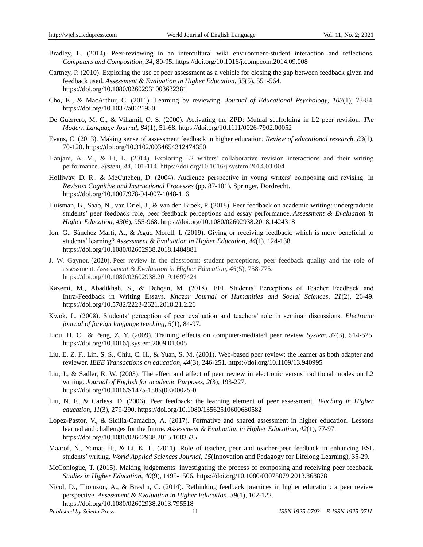- Bradley, L. (2014). Peer-reviewing in an intercultural wiki environment-student interaction and reflections. *Computers and Composition*, *34*, 80-95. https://doi.org/10.1016/j.compcom.2014.09.008
- Cartney, P. (2010). Exploring the use of peer assessment as a vehicle for closing the gap between feedback given and feedback used. *Assessment & Evaluation in Higher Education*, *35*(5), 551-564. https://doi.org/10.1080/02602931003632381
- Cho, K., & MacArthur, C. (2011). Learning by reviewing. *Journal of Educational Psychology*, *103*(1), 73-84. https://doi.org/10.1037/a0021950
- De Guerrero, M. C., & Villamil, O. S. (2000). Activating the ZPD: Mutual scaffolding in L2 peer revision. *The Modern Language Journal*, *84*(1), 51-68. https://doi.org/10.1111/0026-7902.00052
- Evans, C. (2013). Making sense of assessment feedback in higher education. *Review of educational research*, *83*(1), 70-120. https://doi.org/10.3102/0034654312474350
- Hanjani, A. M., & Li, L. (2014). Exploring L2 writers' collaborative revision interactions and their writing performance. *System*, *44*, 101-114. https://doi.org/10.1016/j.system.2014.03.004
- Holliway, D. R., & McCutchen, D. (2004). Audience perspective in young writers' composing and revising. In *Revision Cognitive and Instructional Processes* (pp. 87-101). Springer, Dordrecht. https://doi.org/10.1007/978-94-007-1048-1\_6
- Huisman, B., Saab, N., van Driel, J., & van den Broek, P. (2018). Peer feedback on academic writing: undergraduate students' peer feedback role, peer feedback perceptions and essay performance. *Assessment & Evaluation in Higher Education*, *43*(6), 955-968. https://doi.org/10.1080/02602938.2018.1424318
- Ion, G., Sánchez Martí, A., & Agud Morell, I. (2019). Giving or receiving feedback: which is more beneficial to students' learning? *Assessment & Evaluation in Higher Education, 44*(1), 124-138. https://doi.org/10.1080/02602938.2018.1484881
- J. W. Gaynor. (2020). Peer review in the classroom: student perceptions, peer feedback quality and the role of assessment. *Assessment & Evaluation in Higher Education, 45*(5), 758-775. https://doi.org/10.1080/02602938.2019.1697424
- Kazemi, M., Abadikhah, S., & Dehqan, M. (2018). EFL Students' Perceptions of Teacher Feedback and Intra-Feedback in Writing Essays. *Khazar Journal of Humanities and Social Sciences*, *21*(2), 26-49. https://doi.org/10.5782/2223-2621.2018.21.2.26
- Kwok, L. (2008). Students' perception of peer evaluation and teachers' role in seminar discussions. *Electronic journal of foreign language teaching*, *5*(1), 84-97.
- Liou, H. C., & Peng, Z. Y. (2009). Training effects on computer-mediated peer review. *System*, *37*(3), 514-525. https://doi.org/10.1016/j.system.2009.01.005
- Liu, E. Z. F., Lin, S. S., Chiu, C. H., & Yuan, S. M. (2001). Web-based peer review: the learner as both adapter and reviewer. *IEEE Transactions on education*, *44*(3), 246-251. https://doi.org/10.1109/13.940995
- Liu, J., & Sadler, R. W. (2003). The effect and affect of peer review in electronic versus traditional modes on L2 writing. *Journal of English for academic Purposes*, *2*(3), 193-227. https://doi.org/10.1016/S1475-1585(03)00025-0
- Liu, N. F., & Carless, D. (2006). Peer feedback: the learning element of peer assessment. *Teaching in Higher education*, *11*(3), 279-290. https://doi.org/10.1080/13562510600680582
- López-Pastor, V., & Sicilia-Camacho, A. (2017). Formative and shared assessment in higher education. Lessons learned and challenges for the future. *Assessment & Evaluation in Higher Education*, *42*(1), 77-97. https://doi.org/10.1080/02602938.2015.1083535
- Maarof, N., Yamat, H., & Li, K. L. (2011). Role of teacher, peer and teacher-peer feedback in enhancing ESL students' writing. *World Applied Sciences Journal*, *15*(Innovation and Pedagogy for Lifelong Learning), 35-29.
- McConlogue, T. (2015). Making judgements: investigating the process of composing and receiving peer feedback. *Studies in Higher Education*, *40*(9), 1495-1506. https://doi.org/10.1080/03075079.2013.868878
- *Published by Sciedu Press* 11 *ISSN 1925-0703 E-ISSN 1925-0711* Nicol, D., Thomson, A., & Breslin, C. (2014). Rethinking feedback practices in higher education: a peer review perspective. *Assessment & Evaluation in Higher Education*, *39*(1), 102-122. https://doi.org/10.1080/02602938.2013.795518